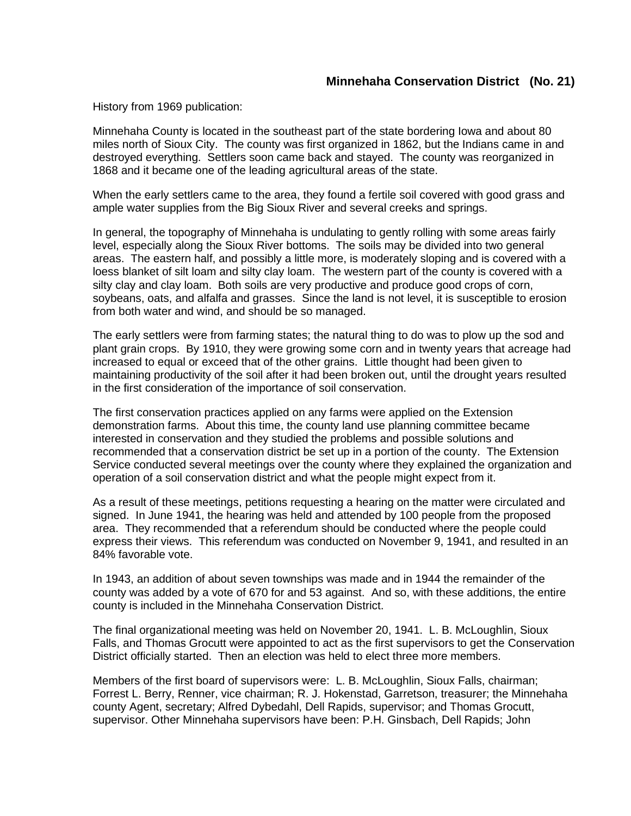## **Minnehaha Conservation District (No. 21)**

History from 1969 publication:

Minnehaha County is located in the southeast part of the state bordering Iowa and about 80 miles north of Sioux City. The county was first organized in 1862, but the Indians came in and destroyed everything. Settlers soon came back and stayed. The county was reorganized in 1868 and it became one of the leading agricultural areas of the state.

When the early settlers came to the area, they found a fertile soil covered with good grass and ample water supplies from the Big Sioux River and several creeks and springs.

In general, the topography of Minnehaha is undulating to gently rolling with some areas fairly level, especially along the Sioux River bottoms. The soils may be divided into two general areas. The eastern half, and possibly a little more, is moderately sloping and is covered with a loess blanket of silt loam and silty clay loam. The western part of the county is covered with a silty clay and clay loam. Both soils are very productive and produce good crops of corn, soybeans, oats, and alfalfa and grasses. Since the land is not level, it is susceptible to erosion from both water and wind, and should be so managed.

The early settlers were from farming states; the natural thing to do was to plow up the sod and plant grain crops. By 1910, they were growing some corn and in twenty years that acreage had increased to equal or exceed that of the other grains. Little thought had been given to maintaining productivity of the soil after it had been broken out, until the drought years resulted in the first consideration of the importance of soil conservation.

The first conservation practices applied on any farms were applied on the Extension demonstration farms. About this time, the county land use planning committee became interested in conservation and they studied the problems and possible solutions and recommended that a conservation district be set up in a portion of the county. The Extension Service conducted several meetings over the county where they explained the organization and operation of a soil conservation district and what the people might expect from it.

As a result of these meetings, petitions requesting a hearing on the matter were circulated and signed. In June 1941, the hearing was held and attended by 100 people from the proposed area. They recommended that a referendum should be conducted where the people could express their views. This referendum was conducted on November 9, 1941, and resulted in an 84% favorable vote.

In 1943, an addition of about seven townships was made and in 1944 the remainder of the county was added by a vote of 670 for and 53 against. And so, with these additions, the entire county is included in the Minnehaha Conservation District.

The final organizational meeting was held on November 20, 1941. L. B. McLoughlin, Sioux Falls, and Thomas Grocutt were appointed to act as the first supervisors to get the Conservation District officially started. Then an election was held to elect three more members.

Members of the first board of supervisors were: L. B. McLoughlin, Sioux Falls, chairman; Forrest L. Berry, Renner, vice chairman; R. J. Hokenstad, Garretson, treasurer; the Minnehaha county Agent, secretary; Alfred Dybedahl, Dell Rapids, supervisor; and Thomas Grocutt, supervisor. Other Minnehaha supervisors have been: P.H. Ginsbach, Dell Rapids; John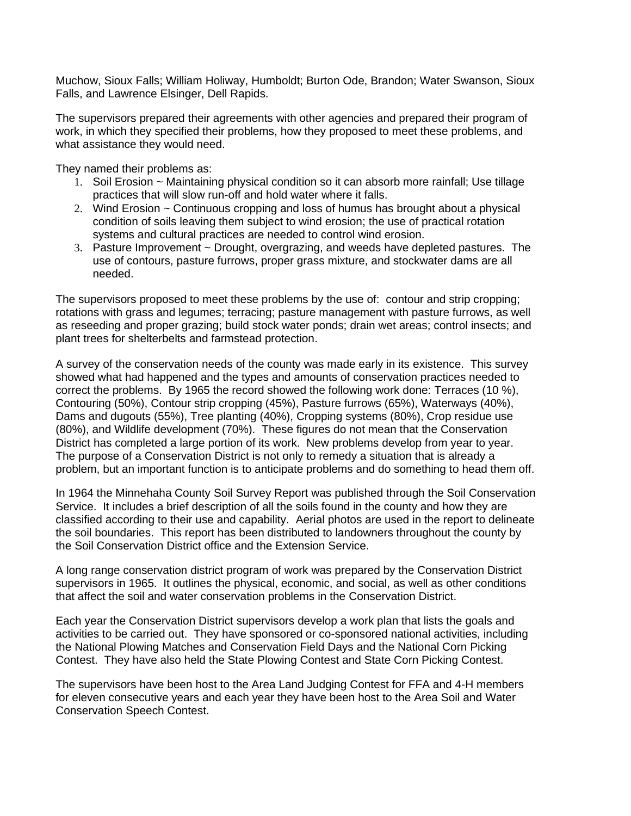Muchow, Sioux Falls; William Holiway, Humboldt; Burton Ode, Brandon; Water Swanson, Sioux Falls, and Lawrence Elsinger, Dell Rapids.

The supervisors prepared their agreements with other agencies and prepared their program of work, in which they specified their problems, how they proposed to meet these problems, and what assistance they would need.

They named their problems as:

- 1. Soil Erosion ~ Maintaining physical condition so it can absorb more rainfall; Use tillage practices that will slow run-off and hold water where it falls.
- 2. Wind Erosion ~ Continuous cropping and loss of humus has brought about a physical condition of soils leaving them subject to wind erosion; the use of practical rotation systems and cultural practices are needed to control wind erosion.
- 3. Pasture Improvement ~ Drought, overgrazing, and weeds have depleted pastures. The use of contours, pasture furrows, proper grass mixture, and stockwater dams are all needed.

The supervisors proposed to meet these problems by the use of: contour and strip cropping; rotations with grass and legumes; terracing; pasture management with pasture furrows, as well as reseeding and proper grazing; build stock water ponds; drain wet areas; control insects; and plant trees for shelterbelts and farmstead protection.

A survey of the conservation needs of the county was made early in its existence. This survey showed what had happened and the types and amounts of conservation practices needed to correct the problems. By 1965 the record showed the following work done: Terraces (10 %), Contouring (50%), Contour strip cropping (45%), Pasture furrows (65%), Waterways (40%), Dams and dugouts (55%), Tree planting (40%), Cropping systems (80%), Crop residue use (80%), and Wildlife development (70%). These figures do not mean that the Conservation District has completed a large portion of its work. New problems develop from year to year. The purpose of a Conservation District is not only to remedy a situation that is already a problem, but an important function is to anticipate problems and do something to head them off.

In 1964 the Minnehaha County Soil Survey Report was published through the Soil Conservation Service. It includes a brief description of all the soils found in the county and how they are classified according to their use and capability. Aerial photos are used in the report to delineate the soil boundaries. This report has been distributed to landowners throughout the county by the Soil Conservation District office and the Extension Service.

A long range conservation district program of work was prepared by the Conservation District supervisors in 1965. It outlines the physical, economic, and social, as well as other conditions that affect the soil and water conservation problems in the Conservation District.

Each year the Conservation District supervisors develop a work plan that lists the goals and activities to be carried out. They have sponsored or co-sponsored national activities, including the National Plowing Matches and Conservation Field Days and the National Corn Picking Contest. They have also held the State Plowing Contest and State Corn Picking Contest.

The supervisors have been host to the Area Land Judging Contest for FFA and 4-H members for eleven consecutive years and each year they have been host to the Area Soil and Water Conservation Speech Contest.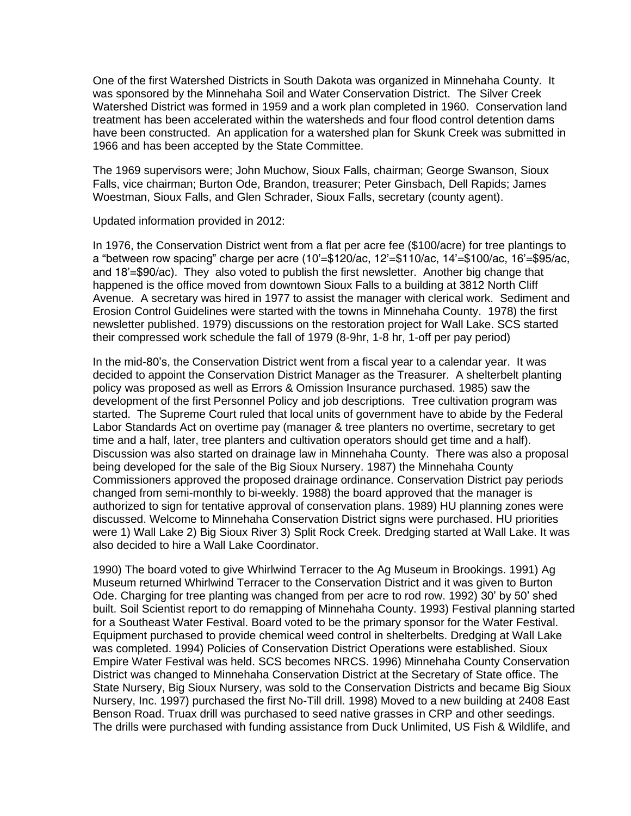One of the first Watershed Districts in South Dakota was organized in Minnehaha County. It was sponsored by the Minnehaha Soil and Water Conservation District. The Silver Creek Watershed District was formed in 1959 and a work plan completed in 1960. Conservation land treatment has been accelerated within the watersheds and four flood control detention dams have been constructed. An application for a watershed plan for Skunk Creek was submitted in 1966 and has been accepted by the State Committee.

The 1969 supervisors were; John Muchow, Sioux Falls, chairman; George Swanson, Sioux Falls, vice chairman; Burton Ode, Brandon, treasurer; Peter Ginsbach, Dell Rapids; James Woestman, Sioux Falls, and Glen Schrader, Sioux Falls, secretary (county agent).

Updated information provided in 2012:

In 1976, the Conservation District went from a flat per acre fee (\$100/acre) for tree plantings to a "between row spacing" charge per acre (10'=\$120/ac, 12'=\$110/ac, 14'=\$100/ac, 16'=\$95/ac, and 18'=\$90/ac). They also voted to publish the first newsletter. Another big change that happened is the office moved from downtown Sioux Falls to a building at 3812 North Cliff Avenue. A secretary was hired in 1977 to assist the manager with clerical work. Sediment and Erosion Control Guidelines were started with the towns in Minnehaha County. 1978) the first newsletter published. 1979) discussions on the restoration project for Wall Lake. SCS started their compressed work schedule the fall of 1979 (8-9hr, 1-8 hr, 1-off per pay period)

In the mid-80's, the Conservation District went from a fiscal year to a calendar year. It was decided to appoint the Conservation District Manager as the Treasurer. A shelterbelt planting policy was proposed as well as Errors & Omission Insurance purchased. 1985) saw the development of the first Personnel Policy and job descriptions. Tree cultivation program was started. The Supreme Court ruled that local units of government have to abide by the Federal Labor Standards Act on overtime pay (manager & tree planters no overtime, secretary to get time and a half, later, tree planters and cultivation operators should get time and a half). Discussion was also started on drainage law in Minnehaha County. There was also a proposal being developed for the sale of the Big Sioux Nursery. 1987) the Minnehaha County Commissioners approved the proposed drainage ordinance. Conservation District pay periods changed from semi-monthly to bi-weekly. 1988) the board approved that the manager is authorized to sign for tentative approval of conservation plans. 1989) HU planning zones were discussed. Welcome to Minnehaha Conservation District signs were purchased. HU priorities were 1) Wall Lake 2) Big Sioux River 3) Split Rock Creek. Dredging started at Wall Lake. It was also decided to hire a Wall Lake Coordinator.

1990) The board voted to give Whirlwind Terracer to the Ag Museum in Brookings. 1991) Ag Museum returned Whirlwind Terracer to the Conservation District and it was given to Burton Ode. Charging for tree planting was changed from per acre to rod row. 1992) 30' by 50' shed built. Soil Scientist report to do remapping of Minnehaha County. 1993) Festival planning started for a Southeast Water Festival. Board voted to be the primary sponsor for the Water Festival. Equipment purchased to provide chemical weed control in shelterbelts. Dredging at Wall Lake was completed. 1994) Policies of Conservation District Operations were established. Sioux Empire Water Festival was held. SCS becomes NRCS. 1996) Minnehaha County Conservation District was changed to Minnehaha Conservation District at the Secretary of State office. The State Nursery, Big Sioux Nursery, was sold to the Conservation Districts and became Big Sioux Nursery, Inc. 1997) purchased the first No-Till drill. 1998) Moved to a new building at 2408 East Benson Road. Truax drill was purchased to seed native grasses in CRP and other seedings. The drills were purchased with funding assistance from Duck Unlimited, US Fish & Wildlife, and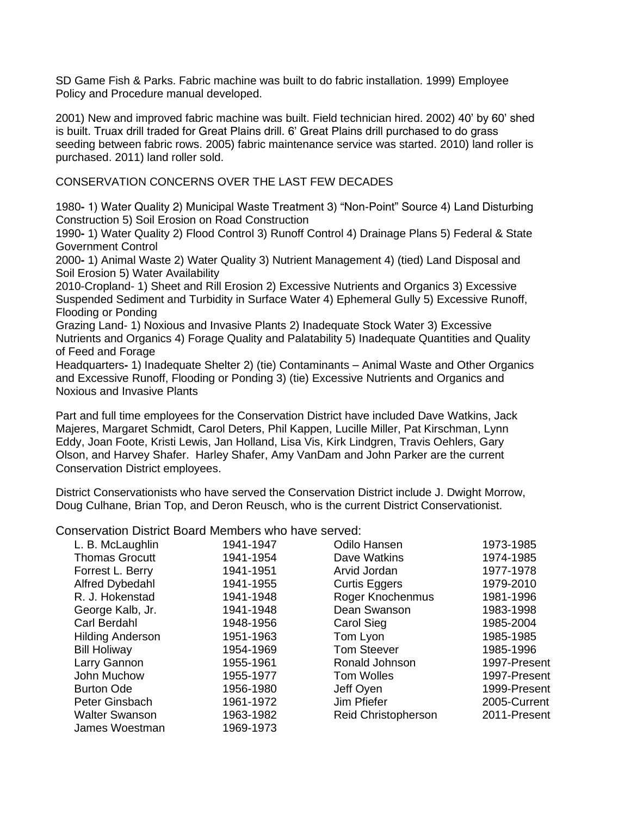SD Game Fish & Parks. Fabric machine was built to do fabric installation. 1999) Employee Policy and Procedure manual developed.

2001) New and improved fabric machine was built. Field technician hired. 2002) 40' by 60' shed is built. Truax drill traded for Great Plains drill. 6' Great Plains drill purchased to do grass seeding between fabric rows. 2005) fabric maintenance service was started. 2010) land roller is purchased. 2011) land roller sold.

### CONSERVATION CONCERNS OVER THE LAST FEW DECADES

1980**-** 1) Water Quality 2) Municipal Waste Treatment 3) "Non-Point" Source 4) Land Disturbing Construction 5) Soil Erosion on Road Construction

1990**-** 1) Water Quality 2) Flood Control 3) Runoff Control 4) Drainage Plans 5) Federal & State Government Control

2000**-** 1) Animal Waste 2) Water Quality 3) Nutrient Management 4) (tied) Land Disposal and Soil Erosion 5) Water Availability

2010-Cropland- 1) Sheet and Rill Erosion 2) Excessive Nutrients and Organics 3) Excessive Suspended Sediment and Turbidity in Surface Water 4) Ephemeral Gully 5) Excessive Runoff, Flooding or Ponding

Grazing Land- 1) Noxious and Invasive Plants 2) Inadequate Stock Water 3) Excessive Nutrients and Organics 4) Forage Quality and Palatability 5) Inadequate Quantities and Quality of Feed and Forage

Headquarters**-** 1) Inadequate Shelter 2) (tie) Contaminants – Animal Waste and Other Organics and Excessive Runoff, Flooding or Ponding 3) (tie) Excessive Nutrients and Organics and Noxious and Invasive Plants

Part and full time employees for the Conservation District have included Dave Watkins, Jack Majeres, Margaret Schmidt, Carol Deters, Phil Kappen, Lucille Miller, Pat Kirschman, Lynn Eddy, Joan Foote, Kristi Lewis, Jan Holland, Lisa Vis, Kirk Lindgren, Travis Oehlers, Gary Olson, and Harvey Shafer. Harley Shafer, Amy VanDam and John Parker are the current Conservation District employees.

District Conservationists who have served the Conservation District include J. Dwight Morrow, Doug Culhane, Brian Top, and Deron Reusch, who is the current District Conservationist.

Conservation District Board Members who have served:

| L. B. McLaughlin        | 1941-1947 | Odilo Hansen               | 1973-1985    |
|-------------------------|-----------|----------------------------|--------------|
| <b>Thomas Grocutt</b>   | 1941-1954 | Dave Watkins               | 1974-1985    |
| Forrest L. Berry        | 1941-1951 | Arvid Jordan               | 1977-1978    |
| Alfred Dybedahl         | 1941-1955 | <b>Curtis Eggers</b>       | 1979-2010    |
| R. J. Hokenstad         | 1941-1948 | Roger Knochenmus           | 1981-1996    |
| George Kalb, Jr.        | 1941-1948 | Dean Swanson               | 1983-1998    |
| Carl Berdahl            | 1948-1956 | <b>Carol Sieg</b>          | 1985-2004    |
| <b>Hilding Anderson</b> | 1951-1963 | Tom Lyon                   | 1985-1985    |
| <b>Bill Holiway</b>     | 1954-1969 | <b>Tom Steever</b>         | 1985-1996    |
| Larry Gannon            | 1955-1961 | Ronald Johnson             | 1997-Present |
| John Muchow             | 1955-1977 | <b>Tom Wolles</b>          | 1997-Present |
| <b>Burton Ode</b>       | 1956-1980 | Jeff Oyen                  | 1999-Present |
| Peter Ginsbach          | 1961-1972 | Jim Pfiefer                | 2005-Current |
| <b>Walter Swanson</b>   | 1963-1982 | <b>Reid Christopherson</b> | 2011-Present |
| James Woestman          | 1969-1973 |                            |              |
|                         |           |                            |              |